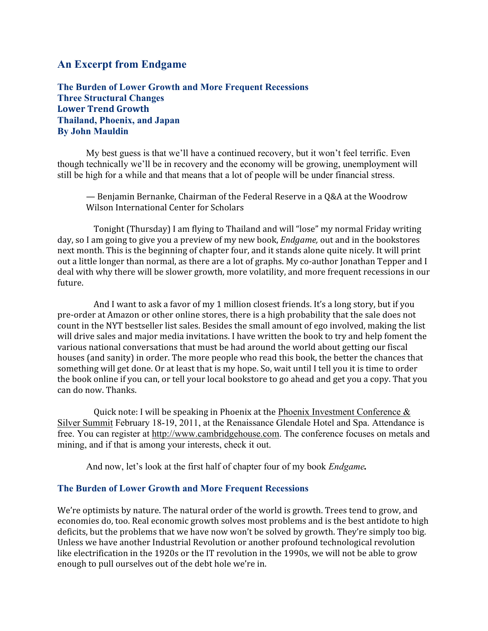# An Excerpt from Endgame

The Burden of Lower Growth and More Frequent Recessions Three Structural Changes **Lower Trend Growth** Thailand, Phoenix, and Japan By John Mauldin

My best guess is that we'll have a continued recovery, but it won't feel terrific. Even though technically we'll be in recovery and the economy will be growing, unemployment will still be high for a while and that means that a lot of people will be under financial stress.

— Benjamin Bernanke, Chairman of the Federal Reserve in a Q&A at the Woodrow Wilson International Center for Scholars

 Tonight (Thursday) I am flying to Thailand and will "lose" my normal Friday writing day, so I am going to give you a preview of my new book, *Endgame,* out and in the bookstores next month. This is the beginning of chapter four, and it stands alone quite nicely. It will print out a little longer than normal, as there are a lot of graphs. My co-author Jonathan Tepper and I deal with why there will be slower growth, more volatility, and more frequent recessions in our future.

And I want to ask a favor of my 1 million closest friends. It's a long story, but if you pre‐order at Amazon or other online stores, there is a high probability that the sale does not count in the NYT bestseller list sales. Besides the small amount of ego involved, making the list will drive sales and major media invitations. I have written the book to try and help foment the various national conversations that must be had around the world about getting our fiscal houses (and sanity) in order. The more people who read this book, the better the chances that something will get done. Or at least that is my hope. So, wait until I tell you it is time to order the book online if you can, or tell your local bookstore to go ahead and get you a copy. That you can do now. Thanks.

Quick note: I will be speaking in Phoenix at the Phoenix Investment Conference  $\&$ Silver Summit February 18-19, 2011, at the Renaissance Glendale Hotel and Spa. Attendance is free. You can register at http://www.cambridgehouse.com. The conference focuses on metals and mining, and if that is among your interests, check it out.

And now, let's look at the first half of chapter four of my book *Endgame.*

### The Burden of Lower Growth and More Frequent Recessions

We're optimists by nature. The natural order of the world is growth. Trees tend to grow, and economies do, too. Real economic growth solves most problems and is the best antidote to high deficits, but the problems that we have now won't be solved by growth. They're simply too big. Unless we have another Industrial Revolution or another profound technological revolution like electrification in the 1920s or the IT revolution in the 1990s, we will not be able to grow enough to pull ourselves out of the debt hole we're in.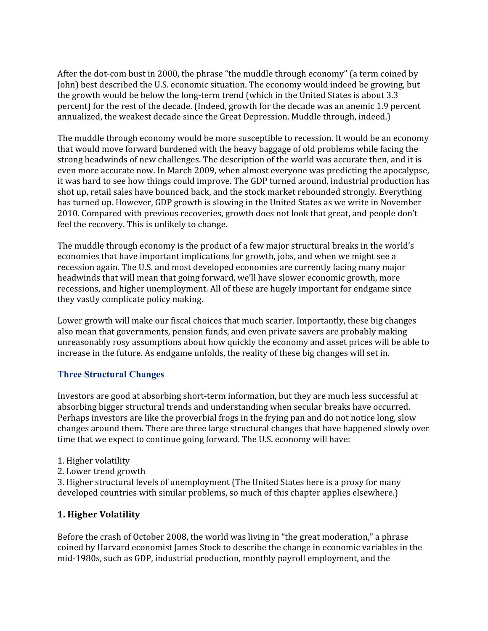After the dot-com bust in 2000, the phrase "the muddle through economy" (a term coined by John) best described the U.S. economic situation. The economy would indeed be growing, but the growth would be below the long-term trend (which in the United States is about 3.3 percent) for the rest of the decade. (Indeed, growth for the decade was an anemic 1.9 percent annualized, the weakest decade since the Great Depression. Muddle through, indeed.)

The muddle through economy would be more susceptible to recession. It would be an economy that would move forward burdened with the heavy baggage of old problems while facing the strong headwinds of new challenges. The description of the world was accurate then, and it is even more accurate now. In March 2009, when almost everyone was predicting the apocalypse, it was hard to see how things could improve. The GDP turned around, industrial production has shot up, retail sales have bounced back, and the stock market rebounded strongly. Everything has turned up. However, GDP growth is slowing in the United States as we write in November 2010. Compared with previous recoveries, growth does not look that great, and people don't feel the recovery. This is unlikely to change.

The muddle through economy is the product of a few major structural breaks in the world's economies that have important implications for growth, jobs, and when we might see a recession again. The U.S. and most developed economies are currently facing many major headwinds that will mean that going forward, we'll have slower economic growth, more recessions, and higher unemployment. All of these are hugely important for endgame since they vastly complicate policy making.

Lower growth will make our fiscal choices that much scarier. Importantly, these big changes also mean that governments, pension funds, and even private savers are probably making unreasonably rosy assumptions about how quickly the economy and asset prices will be able to increase in the future. As endgame unfolds, the reality of these big changes will set in.

## Three Structural Changes

Investors are good at absorbing short‐term information, but they are much less successful at absorbing bigger structural trends and understanding when secular breaks have occurred. Perhaps investors are like the proverbial frogs in the frying pan and do not notice long, slow changes around them. There are three large structural changes that have happened slowly over time that we expect to continue going forward. The U.S. economy will have:

- 1. Higher volatility
- 2. Lower trend growth

3. Higher structural levels of unemployment (The United States here is a proxy for many developed countries with similar problems, so much of this chapter applies elsewhere.)

## **1. Higher Volatility**

Before the crash of October 2008, the world was living in "the great moderation," a phrase coined by Harvard economist James Stock to describe the change in economic variables in the mid‐1980s, such as GDP, industrial production, monthly payroll employment, and the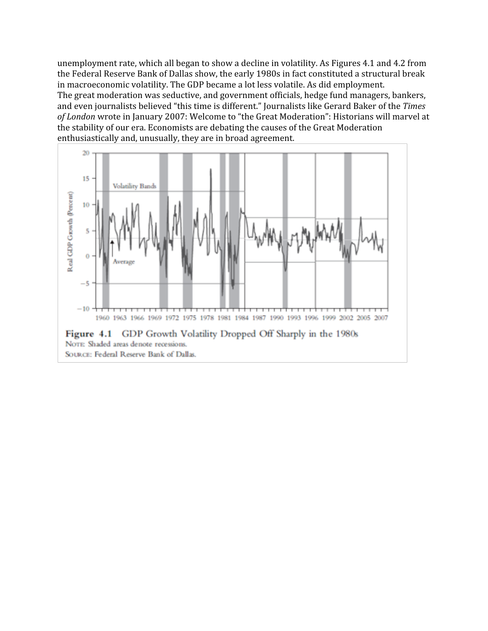unemployment rate, which all began to show a decline in volatility. As Figures 4.1 and 4.2 from the Federal Reserve Bank of Dallas show, the early 1980s in fact constituted a structural break in macroeconomic volatility. The GDP became a lot less volatile. As did employment. The great moderation was seductive, and government officials, hedge fund managers, bankers, and even journalists believed "this time is different." Journalists like Gerard Baker of the *Times of London* wrote in January 2007: Welcome to "the Great Moderation": Historians will marvel at the stability of our era. Economists are debating the causes of the Great Moderation enthusiastically and, unusually, they are in broad agreement.

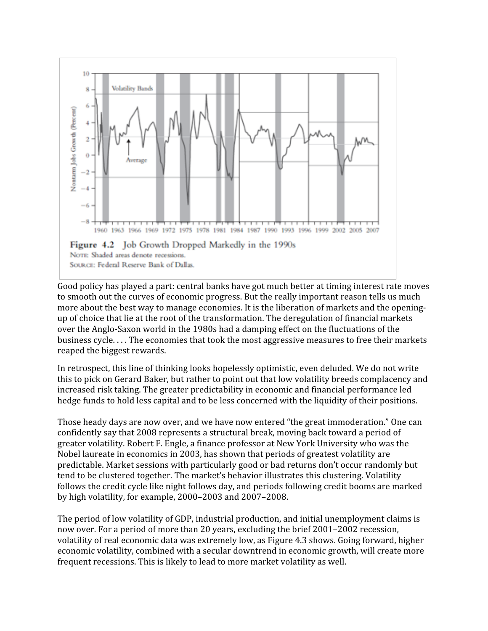

Good policy has played a part: central banks have got much better at timing interest rate moves to smooth out the curves of economic progress. But the really important reason tells us much more about the best way to manage economies. It is the liberation of markets and the openingup of choice that lie at the root of the transformation. The deregulation of financial markets over the Anglo‐Saxon world in the 1980s had a damping effect on the fluctuations of the business cycle. . . . The economies that took the most aggressive measures to free their markets reaped the biggest rewards.

In retrospect, this line of thinking looks hopelessly optimistic, even deluded. We do not write this to pick on Gerard Baker, but rather to point out that low volatility breeds complacency and increased risk taking. The greater predictability in economic and financial performance led hedge funds to hold less capital and to be less concerned with the liquidity of their positions.

Those heady days are now over, and we have now entered "the great immoderation." One can confidently say that 2008 represents a structural break, moving back toward a period of greater volatility. Robert F. Engle, a finance professor at New York University who was the Nobel laureate in economics in 2003, has shown that periods of greatest volatility are predictable. Market sessions with particularly good or bad returns don't occur randomly but tend to be clustered together. The market's behavior illustrates this clustering. Volatility follows the credit cycle like night follows day, and periods following credit booms are marked by high volatility, for example, 2000–2003 and 2007–2008.

The period of low volatility of GDP, industrial production, and initial unemployment claims is now over. For a period of more than 20 years, excluding the brief 2001–2002 recession, volatility of real economic data was extremely low, as Figure 4.3 shows. Going forward, higher economic volatility, combined with a secular downtrend in economic growth, will create more frequent recessions. This is likely to lead to more market volatility as well.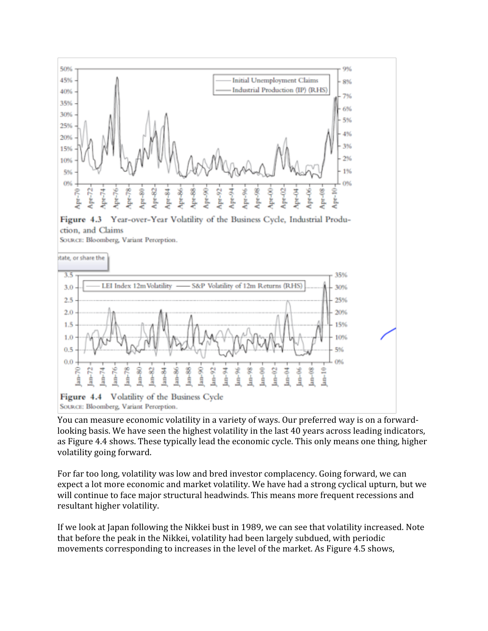

You can measure economic volatility in a variety of ways. Our preferred way is on a forward‐ looking basis. We have seen the highest volatility in the last 40 years across leading indicators, as Figure 4.4 shows. These typically lead the economic cycle. This only means one thing, higher volatility going forward.

For far too long, volatility was low and bred investor complacency. Going forward, we can expect a lot more economic and market volatility. We have had a strong cyclical upturn, but we will continue to face major structural headwinds. This means more frequent recessions and resultant higher volatility.

If we look at Japan following the Nikkei bust in 1989, we can see that volatility increased. Note that before the peak in the Nikkei, volatility had been largely subdued, with periodic movements corresponding to increases in the level of the market. As Figure 4.5 shows,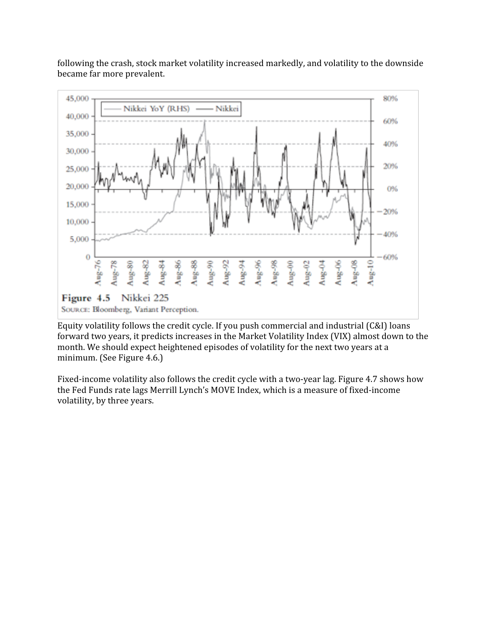

following the crash, stock market volatility increased markedly, and volatility to the downside became far more prevalent.

Equity volatility follows the credit cycle. If you push commercial and industrial (C&I) loans forward two years, it predicts increases in the Market Volatility Index (VIX) almost down to the month. We should expect heightened episodes of volatility for the next two years at a minimum. (See Figure 4.6.)

Fixed-income volatility also follows the credit cycle with a two-year lag. Figure 4.7 shows how the Fed Funds rate lags Merrill Lynch's MOVE Index, which is a measure of fixed‐income volatility, by three years.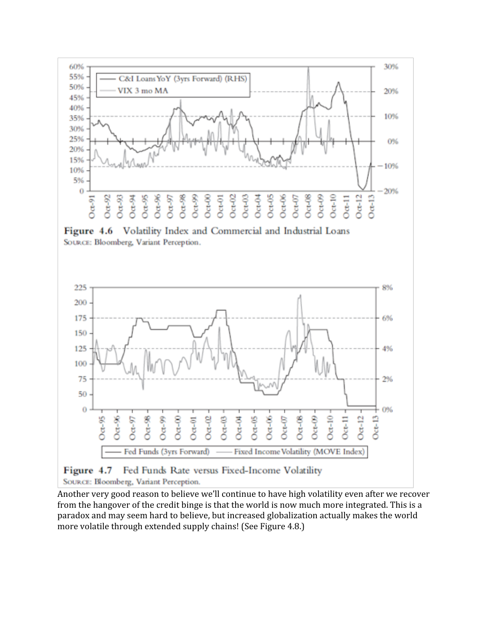

Volatility Index and Commercial and Industrial Loans Figure 4.6 SOURCE: Bloomberg, Variant Perception.



Another very good reason to believe we'll continue to have high volatility even after we recover from the hangover of the credit binge is that the world is now much more integrated. This is a paradox and may seem hard to believe, but increased globalization actually makes the world more volatile through extended supply chains! (See Figure 4.8.)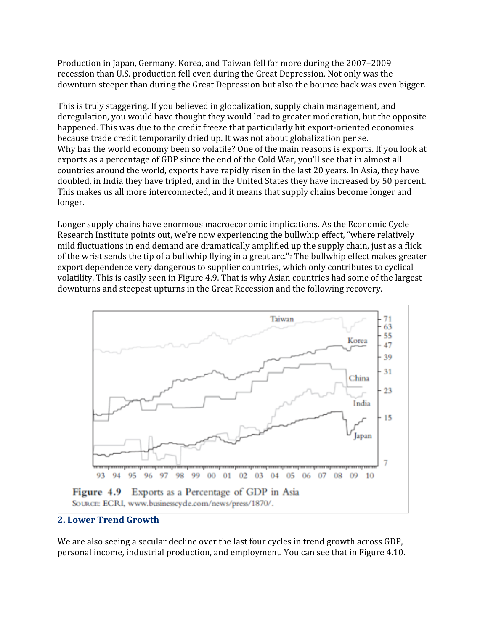Production in Japan, Germany, Korea, and Taiwan fell far more during the 2007–2009 recession than U.S. production fell even during the Great Depression. Not only was the downturn steeper than during the Great Depression but also the bounce back was even bigger.

This is truly staggering. If you believed in globalization, supply chain management, and deregulation, you would have thought they would lead to greater moderation, but the opposite happened. This was due to the credit freeze that particularly hit export-oriented economies because trade credit temporarily dried up. It was not about globalization per se. Why has the world economy been so volatile? One of the main reasons is exports. If you look at exports as a percentage of GDP since the end of the Cold War, you'll see that in almost all countries around the world, exports have rapidly risen in the last 20 years. In Asia, they have doubled, in India they have tripled, and in the United States they have increased by 50 percent. This makes us all more interconnected, and it means that supply chains become longer and longer.

Longer supply chains have enormous macroeconomic implications. As the Economic Cycle Research Institute points out, we're now experiencing the bullwhip effect, "where relatively mild fluctuations in end demand are dramatically amplified up the supply chain, just as a flick of the wrist sends the tip of a bullwhip flying in a great arc."2 The bullwhip effect makes greater export dependence very dangerous to supplier countries, which only contributes to cyclical volatility. This is easily seen in Figure 4.9. That is why Asian countries had some of the largest downturns and steepest upturns in the Great Recession and the following recovery.



### **2. Lower Trend Growth**

We are also seeing a secular decline over the last four cycles in trend growth across GDP, personal income, industrial production, and employment. You can see that in Figure 4.10.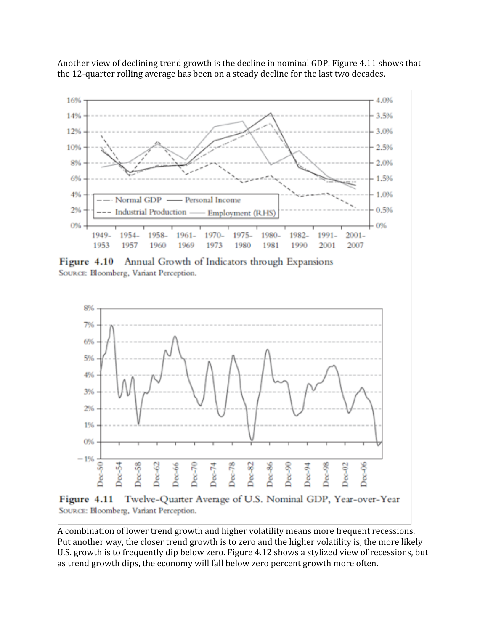

Another view of declining trend growth is the decline in nominal GDP. Figure 4.11 shows that the 12‐quarter rolling average has been on a steady decline for the last two decades.

A combination of lower trend growth and higher volatility means more frequent recessions. Put another way, the closer trend growth is to zero and the higher volatility is, the more likely U.S. growth is to frequently dip below zero. Figure 4.12 shows a stylized view of recessions, but as trend growth dips, the economy will fall below zero percent growth more often.